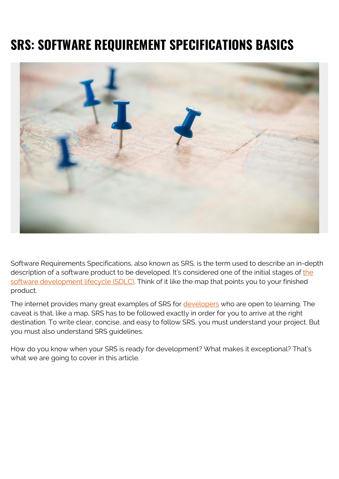# **SRS: SOFTWARE REQUIREMENT SPECIFICATIONS BASICS**



Software Requirements Specifications, also known as SRS, is the term used to describe an in-depth description of a software product to be developed. It's considered one of [the](https://blogs.bmc.com/blogs/sdlc-software-development-lifecycle/) initial stages of the [software development lifecycle \(SDLC\).](https://blogs.bmc.com/blogs/sdlc-software-development-lifecycle/) Think of it like the map that points you to your finished product.

The internet provides many great examples of SRS for [developers](https://blogs.bmc.com/blogs/application-developer-roles-responsibilities/) who are open to learning. The caveat is that, like a map, SRS has to be followed exactly in order for you to arrive at the right destination. To write clear, concise, and easy to follow SRS, you must understand your project. But you must also understand SRS guidelines.

How do you know when your SRS is ready for development? What makes it exceptional? That's what we are going to cover in this article.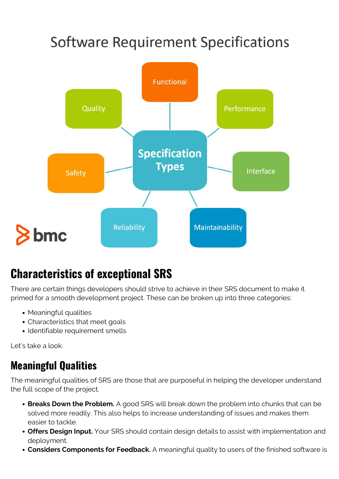# **Software Requirement Specifications**



### **Characteristics of exceptional SRS**

There are certain things developers should strive to achieve in their SRS document to make it primed for a smooth development project. These can be broken up into three categories:

- Meaningful qualities
- Characteristics that meet goals
- Identifiable requirement smells

Let's take a look.

#### **Meaningful Qualities**

The meaningful qualities of SRS are those that are purposeful in helping the developer understand the full scope of the project.

- **Breaks Down the Problem.** A good SRS will break down the problem into chunks that can be solved more readily. This also helps to increase understanding of issues and makes them easier to tackle.
- **Offers Design Input.** Your SRS should contain design details to assist with implementation and deployment.
- **Considers Components for Feedback.** A meaningful quality to users of the finished software is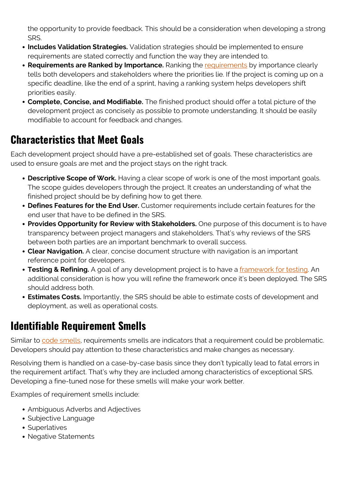the opportunity to provide feedback. This should be a consideration when developing a strong SRS.

- **Includes Validation Strategies.** Validation strategies should be implemented to ensure requirements are stated correctly and function the way they are intended to.
- **Requirements are Ranked by Importance.** Ranking the [requirements](http://www.gartner.com/it-glossary/rdm-requirements-definition-and-management) by importance clearly tells both developers and stakeholders where the priorities lie. If the project is coming up on a specific deadline, like the end of a sprint, having a ranking system helps developers shift priorities easily.
- **Complete, Concise, and Modifiable.** The finished product should offer a total picture of the development project as concisely as possible to promote understanding. It should be easily modifiable to account for feedback and changes.

#### **Characteristics that Meet Goals**

Each development project should have a pre-established set of goals. These characteristics are used to ensure goals are met and the project stays on the right track.

- **Descriptive Scope of Work.** Having a clear scope of work is one of the most important goals. The scope guides developers through the project. It creates an understanding of what the finished project should be by defining how to get there.
- **Defines Features for the End User.** Customer requirements include certain features for the end user that have to be defined in the SRS.
- **Provides Opportunity for Review with Stakeholders.** One purpose of this document is to have transparency between project managers and stakeholders. That's why reviews of the SRS between both parties are an important benchmark to overall success.
- **Clear Navigation.** A clear, concise document structure with navigation is an important reference point for developers.
- **Testing & Refining.** A goal of any development project is to have a [framework for testing.](http://www.pwc.com/us/en/financial-services/publications/viewpoints/software-failure-automated-functional-testing.html) An additional consideration is how you will refine the framework once it's been deployed. The SRS should address both.
- **Estimates Costs.** Importantly, the SRS should be able to estimate costs of development and deployment, as well as operational costs.

#### **Identifiable Requirement Smells**

Similar to [code smells](https://www.bmc.com/blogs/technical-debt-explained-the-complete-guide-to-understanding-and-dealing-with-technical-debt/), requirements smells are indicators that a requirement could be problematic. Developers should pay attention to these characteristics and make changes as necessary.

Resolving them is handled on a case-by-case basis since they don't typically lead to fatal errors in the requirement artifact. That's why they are included among characteristics of exceptional SRS. Developing a fine-tuned nose for these smells will make your work better.

Examples of requirement smells include:

- Ambiguous Adverbs and Adjectives
- Subjective Language
- Superlatives
- Negative Statements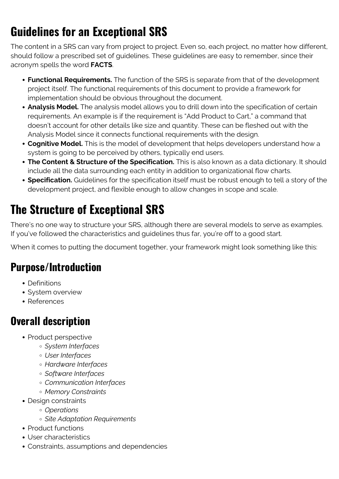# **Guidelines for an Exceptional SRS**

The content in a SRS can vary from project to project. Even so, each project, no matter how different, should follow a prescribed set of guidelines. These guidelines are easy to remember, since their acronym spells the word **FACTS**.

- **Functional Requirements.** The function of the SRS is separate from that of the development project itself. The functional requirements of this document to provide a framework for implementation should be obvious throughout the document.
- **Analysis Model.** The analysis model allows you to drill down into the specification of certain requirements. An example is if the requirement is "Add Product to Cart," a command that doesn't account for other details like size and quantity. These can be fleshed out with the Analysis Model since it connects functional requirements with the design.
- **Cognitive Model.** This is the model of development that helps developers understand how a system is going to be perceived by others, typically end users.
- **The Content & Structure of the Specification.** This is also known as a data dictionary. It should include all the data surrounding each entity in addition to organizational flow charts.
- **Specification.** Guidelines for the specification itself must be robust enough to tell a story of the development project, and flexible enough to allow changes in scope and scale.

# **The Structure of Exceptional SRS**

There's no one way to structure your SRS, although there are several models to serve as examples. If you've followed the characteristics and guidelines thus far, you're off to a good start.

When it comes to putting the document together, your framework might look something like this:

#### **Purpose/Introduction**

- Definitions
- System overview
- References

#### **Overall description**

- Product perspective
	- *System Interfaces*
	- *User Interfaces*
	- *Hardware Interfaces*
	- *Software Interfaces*
	- *Communication Interfaces*
	- *Memory Constraints*
- Design constraints
	- *Operations*
	- *Site Adaptation Requirements*
- Product functions
- User characteristics
- Constraints, assumptions and dependencies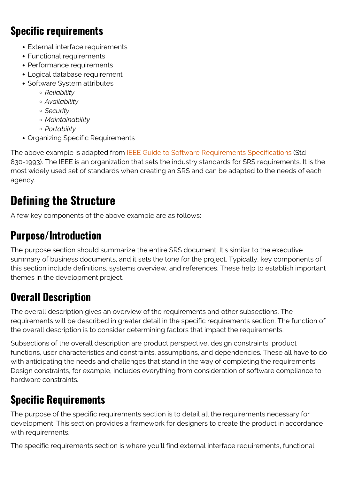#### **Specific requirements**

- External interface requirements
- Functional requirements
- Performance requirements
- Logical database requirement
- Software System attributes
	- *Reliability*
	- *Availability*
	- *Security*
	- *Maintainability*
	- *Portability*
- Organizing Specific Requirements

The above example is adapted from **[IEEE Guide to Software Requirements Specifications](http://ieeexplore.ieee.org/document/278253/?reload=true)** (Std 830-1993). The IEEE is an organization that sets the industry standards for SRS requirements. It is the most widely used set of standards when creating an SRS and can be adapted to the needs of each agency.

### **Defining the Structure**

A few key components of the above example are as follows:

#### **Purpose/Introduction**

The purpose section should summarize the entire SRS document. It's similar to the executive summary of business documents, and it sets the tone for the project. Typically, key components of this section include definitions, systems overview, and references. These help to establish important themes in the development project.

#### **Overall Description**

The overall description gives an overview of the requirements and other subsections. The requirements will be described in greater detail in the specific requirements section. The function of the overall description is to consider determining factors that impact the requirements.

Subsections of the overall description are product perspective, design constraints, product functions, user characteristics and constraints, assumptions, and dependencies. These all have to do with anticipating the needs and challenges that stand in the way of completing the requirements. Design constraints, for example, includes everything from consideration of software compliance to hardware constraints.

### **Specific Requirements**

The purpose of the specific requirements section is to detail all the requirements necessary for development. This section provides a framework for designers to create the product in accordance with requirements.

The specific requirements section is where you'll find external interface requirements, functional